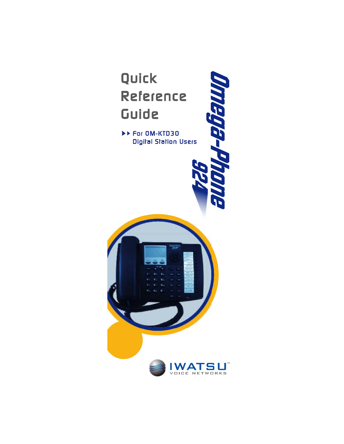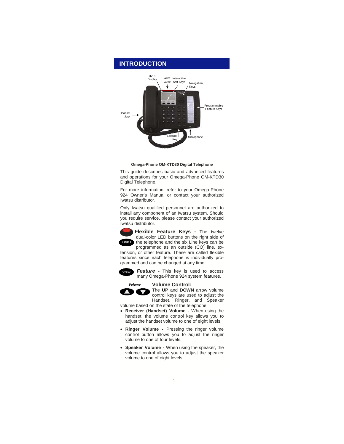

#### **Omega-Phone OM-KTD30 Digital Telephone**

This guide describes basic and advanced features and operations for your Omega-Phone OM-KTD30 Digital Telephone.

For more information, refer to your Omega-Phone 924 Owner's Manual or contact your authorized Iwatsu distributor.

Only Iwatsu qualified personnel are authorized to install any component of an Iwatsu system. Should you require service, please contact your authorized Iwatsu distributor.



**Flexible Feature Keys -** The twelve dual-color LED buttons on the right side of **EINE1** the telephone and the six Line keys can be programmed as an outside (CO) line, ex-

tension, or other feature. These are called flexible features since each telephone is individually programmed and can be changed at any time.



*Feature* - This key is used to access many Omega-Phone 924 system features.

**Volume Control:** 



*Volume*

 $\blacktriangledown$ 

The **UP** and **DOWN** arrow volume control keys are used to adjust the Handset, Ringer, and Speaker volume based on the state of the telephone.

- **Receiver (Handset) Volume** When using the handset, the volume control key allows you to adjust the handset volume to one of eight levels.
- **Ringer Volume** Pressing the ringer volume control button allows you to adjust the ringer volume to one of four levels.
- **Speaker Volume** When using the speaker, the volume control allows you to adjust the speaker volume to one of eight levels.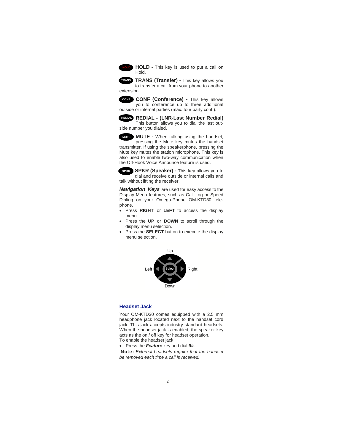

**HOLD -** This key is used to put a call on Hold.

**TRANS (Transfer) -** This key allows you **TRANS** to transfer a call from your phone to another extension.

**CONF (Conference) -** This key allows **CONF** you to conference up to three additional outside or internal parties (max. four party conf.).

**REDIAL - (LNR-Last Number Redial) REDIAL** This button allows you to dial the last outside number you dialed.

**MUTE -** When talking using the handset, **MUTE** pressing the Mute key mutes the handset transmitter. If using the speakerphone, pressing the Mute key mutes the station microphone. This key is also used to enable two-way communication when the Off-Hook Voice Announce feature is used.

**SPKR (Speaker) - This key allows you to** dial and receive outside or internal calls and talk without lifting the receiver.

*Navigation Keys* are used for easy access to the Display Menu features, such as Call Log or Speed Dialing on your Omega-Phone OM-KTD30 telephone.

- Press **RIGHT** or **LEFT** to access the display menu.
- Press the **UP** or **DOWN** to scroll through the display menu selection.
- Press the **SELECT** button to execute the display menu selection.



#### **Headset Jack**

Your OM-KTD30 comes equipped with a 2.5 mm headphone jack located next to the handset cord jack. This jack accepts industry standard headsets. When the headset jack is enabled, the speaker key acts as the on / off key for headset operation. To enable the headset jack:

• Press the *Feature* key and dial **9#**.

Note: *External headsets require that the handset be removed each time a call is received.*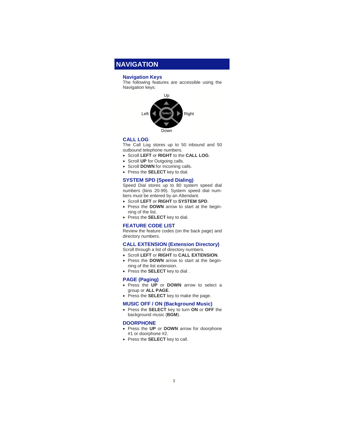## **NAVIGATION**

## **Navigation Keys**

The following features are accessible using the Navigation keys:



## **CALL LOG**

The Call Log stores up to 50 inbound and 50 outbound telephone numbers.

- Scroll **LEFT** or **RIGHT** to the **CALL LOG**.
- Scroll **UP** for Outgoing calls.
- Scroll **DOWN** for Incoming calls.
- Press the **SELECT** key to dial.

#### **SYSTEM SPD (Speed Dialing)**

Speed Dial stores up to 80 system speed dial numbers (bins 20-99). System speed dial numbers must be entered by an Attendant.

- Scroll **LEFT** or **RIGHT** to **SYSTEM SPD**.
- Press the **DOWN** arrow to start at the beginning of the list.
- Press the **SELECT** key to dial.

## **FEATURE CODE LIST**

Review the feature codes (on the back page) and directory numbers.

## **CALL EXTENSION (Extension Directory)**

Scroll through a list of directory numbers.

- Scroll **LEFT** or **RIGHT** to **CALL EXTENSION**.
- Press the **DOWN** arrow to start at the beginning of the list extension.
- Press the **SELECT** key to dial .

#### **PAGE (Paging)**

- Press the **UP** or **DOWN** arrow to select a group or **ALL PAGE**.
- Press the **SELECT** key to make the page.

#### **MUSIC OFF / ON (Background Music)**

• Press the **SELECT** key to turn **ON** or **OFF** the background music (**BGM**).

#### **DOORPHONE**

- Press the **UP** or **DOWN** arrow for doorphone #1 or doorphone #2.
- Press the **SELECT** key to call.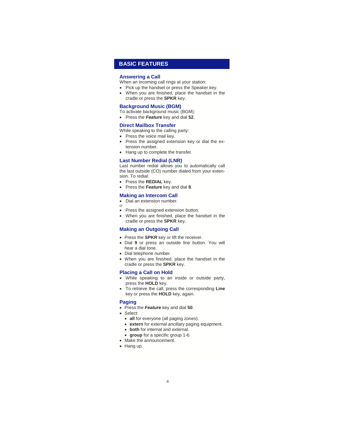## **BASIC FEATURES**

#### **Answering a Call**

- When an incoming call rings at your station:
- Pick up the handset or press the Speaker key.
- When you are finished, place the handset in the cradle or press the **SPKR** key.

#### **Background Music (BGM)**

- To activate background music (BGM):
- Press the *Feature* key and dial **52**.

## **Direct Mailbox Transfer**

While speaking to the calling party:

- Press the voice mail key.
- Press the assigned extension key or dial the extension number.
- Hang up to complete the transfer.

## **Last Number Redial (LNR)**

Last number redial allows you to automatically call the last outside (CO) number dialed from your extension. To redial:

- Press the **REDIAL** key.
- Press the *Feature* key and dial **8**.

#### **Making an Intercom Call**

- Dial an extension number.
- *or* • Press the assigned extension button.
- When you are finished, place the handset in the cradle or press the **SPKR** key.

#### **Making an Outgoing Call**

- Press the **SPKR** key or lift the receiver.
- Dial **9** or press an outside line button. You will hear a dial tone.
- Dial telephone number.
- When you are finished, place the handset in the cradle or press the **SPKR** key.

#### **Placing a Call on Hold**

- While speaking to an inside or outside party, press the **HOLD** key.
- To retrieve the call, press the corresponding **Line** key or press the **HOLD** key, again.

## **Paging**

- Press the *Feature* key and dial **50**.
- Select:
	- **all** for everyone (all paging zones).
	- **extern** for external ancillary paging equipment.
	- **both** for internal and external.
	- **group** for a specific group 1-6.
- Make the announcement.
- Hang up.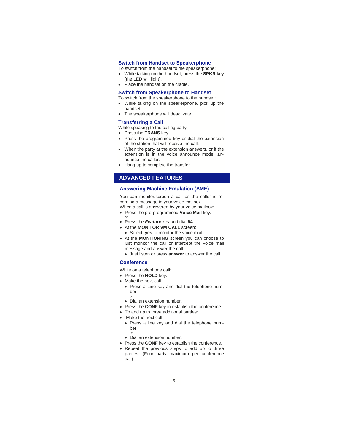## **Switch from Handset to Speakerphone**

To switch from the handset to the speakerphone:

- While talking on the handset, press the **SPKR** key (the LED will light).
- Place the handset on the cradle.

## **Switch from Speakerphone to Handset**

To switch from the speakerphone to the handset:

- While talking on the speakerphone, pick up the handset.
- The speakerphone will deactivate.

#### **Transferring a Call**

- While speaking to the calling party:
- Press the **TRANS** key.
- Press the programmed key or dial the extension of the station that will receive the call.
- When the party at the extension answers, or if the extension is in the voice announce mode, announce the caller.
- Hang up to complete the transfer.

## **ADVANCED FEATURES**

## **Answering Machine Emulation (AME)**

You can monitor/screen a call as the caller is recording a message in your voice mailbox. When a call is answered by your voice mailbox:

- Press the pre-programmed **Voice Mail** key.
- *or*
- Press the *Feature* key and dial **64**.
- At the **MONITOR VM CALL** screen:
	- Select **yes** to monitor the voice mail.
- At the **MONITORING** screen you can choose to just monitor the call or intercept the voice mail message and answer the call.
	- Just listen or press **answer** to answer the call.

## **Conference**

While on a telephone call:

- Press the **HOLD** key.
- Make the next call.
- Press a Line key and dial the telephone number.
	- *or*
- Dial an extension number.
- Press the **CONF** key to establish the conference.
- To add up to three additional parties:
- Make the next call.
	- Press a line key and dial the telephone number. *or*
	- Dial an extension number.
	-
- Press the **CONF** key to establish the conference.
- Repeat the previous steps to add up to three parties. (Four party maximum per conference call).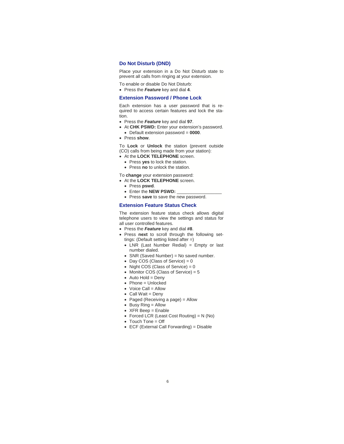## **Do Not Disturb (DND)**

Place your extension in a Do Not Disturb state to prevent all calls from ringing at your extension.

- To enable or disable Do Not Disturb:
- Press the *Feature* key and dial **4**.

## **Extension Password / Phone Lock**

Each extension has a user password that is required to access certain features and lock the station.

- Press the *Feature* key and dial **97**.
- At **CHK PSWD:** Enter your extension's password.
	- Default extension password = **0000**.
- Press **show**.

To **Lock** or **Unlock** the station (prevent outside (CO) calls from being made from your station):

- At the **LOCK TELEPHONE** screen.
	- Press **yes** to lock the station.
	- Press **no** to unlock the station.

## To **change** your extension password:

- At the **LOCK TELEPHONE** screen.
	- Press **pswd**.
	- Enter the **NEW PSWD:**
	- Press **save** to save the new password.

#### **Extension Feature Status Check**

The extension feature status check allows digital telephone users to view the settings and status for all user controlled features.

- Press the *Feature* key and dial **#8**.
- Press **next** to scroll through the following settings: (Default setting listed after =)
	- LNR (Last Number Redial) = Empty or last number dialed.
	- SNR (Saved Number) = No saved number.
	- Day  $COS$  (Class of Service) =  $0$
	- Night COS (Class of Service) =  $0$
	- Monitor COS (Class of Service) = 5
	- Auto Hold = Deny
	- Phone = Unlocked
	- Voice Call = Allow
	- Call Wait = Deny
	- Paged (Receiving a page) = Allow
	- Busy Ring = Allow
	- XFR Beep = Enable
	- Forced LCR (Least Cost Routing) = N (No)
	- Touch Tone = Off
	- ECF (External Call Forwarding) = Disable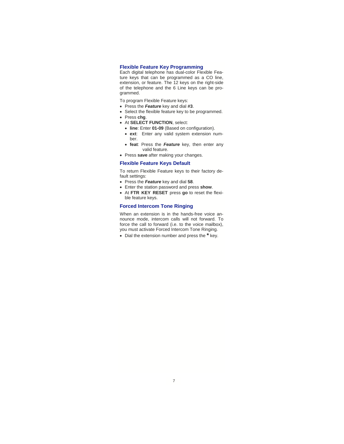## **Flexible Feature Key Programming**

Each digital telephone has dual-color Flexible Feature keys that can be programmed as a CO line, extension, or feature. The 12 keys on the right-side of the telephone and the 6 Line keys can be programmed.

- To program Flexible Feature keys:
- Press the *Feature* key and dial **#3**.
- Select the flexible feature key to be programmed.
- Press **chg**.
- At **SELECT FUNCTION**, select:
	- **line**: Enter **01-09** (Based on configuration).
	- **ext**: Enter any valid system extension number.
	- **feat**: Press the *Feature* key, then enter any valid feature.
- Press **save** after making your changes.

## **Flexible Feature Keys Default**

To return Flexible Feature keys to their factory default settings:

- Press the *Feature* key and dial **58**.
- Enter the station password and press **show**.
- At **FTR KEY RESET** press **go** to reset the flexible feature keys.

### **Forced Intercom Tone Ringing**

When an extension is in the hands-free voice announce mode, intercom calls will not forward. To force the call to forward (i.e. to the voice mailbox), you must activate Forced Intercom Tone Ringing.

• Dial the extension number and press the **\*** key.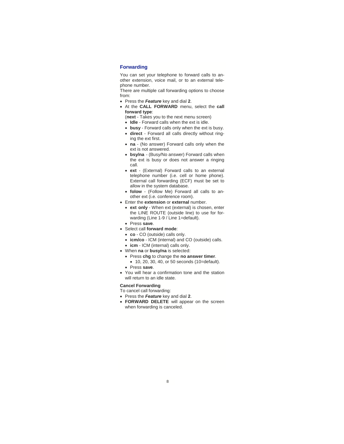## **Forwarding**

You can set your telephone to forward calls to another extension, voice mail, or to an external telephone number.

There are multiple call forwarding options to choose from:

- Press the *Feature* key and dial **2**.
- At the **CALL FORWARD** menu, select the **call forward type**:
	- (**next** Takes you to the next menu screen)
	- **Idle** Forward calls when the ext is idle.
	- **busy** Forward calls only when the ext is busy.
	- **direct** Forward all calls directly without ringing the ext first.
	- **na** (No answer) Forward calls only when the ext is not answered.
	- **bsy/na**  (Busy/No answer) Forward calls when the ext is busy or does not answer a ringing call.
	- **ext** (External) Forward calls to an external telephone number (i.e. cell or home phone). External call forwarding (ECF) must be set to allow in the system database.
	- **folow** (Follow Me) Forward all calls to another ext (i.e. conference room).
- Enter the **extension** or **external** number.
	- **ext only** When ext (external) is chosen, enter the LINE ROUTE (outside line) to use for forwarding (Line 1-9 / Line 1=default).
	- Press **save**.
- Select call **forward mode**:
	- **co** CO (outside) calls only.
	- **icm/co**  ICM (internal) and CO (outside) calls.
	- **icm** ICM (internal) calls only.
- When **na** or **busy/na** is selected:
	- Press **chg** to change the **no answer timer**.
		- 10, 20, 30, 40, or 50 seconds (10=default).
	- Press **save**.
- You will hear a confirmation tone and the station will return to an idle state.

## **Cancel Forwarding**

- To cancel call forwarding:
- Press the *Feature* key and dial **2**.
- **FORWARD DELETE** will appear on the screen when forwarding is canceled.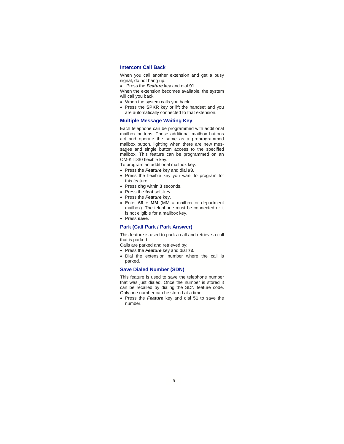## **Intercom Call Back**

When you call another extension and get a busy signal, do not hang up:

• Press the *Feature* key and dial **91**.

When the extension becomes available, the system will call you back.

- When the system calls you back:
- Press the **SPKR** key or lift the handset and you are automatically connected to that extension.

## **Multiple Message Waiting Key**

Each telephone can be programmed with additional mailbox buttons. These additional mailbox buttons act and operate the same as a preprogrammed mailbox button, lighting when there are new messages and single button access to the specified mailbox. This feature can be programmed on an OM-KTD30 flexible key.

- To program an additional mailbox key:
- Press the *Feature* key and dial **#3**.
- Press the flexible key you want to program for this feature.
- Press **chg** within **3** seconds.
- Press the **feat** soft-key.
- Press the *Feature* key.
- Enter  $66 + MM$  (MM = mailbox or department mailbox). The telephone must be connected or it is not eligible for a mailbox key.
- Press **save**.

#### **Park (Call Park / Park Answer)**

This feature is used to park a call and retrieve a call that is parked.

Calls are parked and retrieved by:

- Press the *Feature* key and dial **73**.
- Dial the extension number where the call is parked.

#### **Save Dialed Number (SDN)**

This feature is used to save the telephone number that was just dialed. Once the number is stored it can be recalled by dialing the SDN feature code. Only one number can be stored at a time.

• Press the *Feature* key and dial **51** to save the number.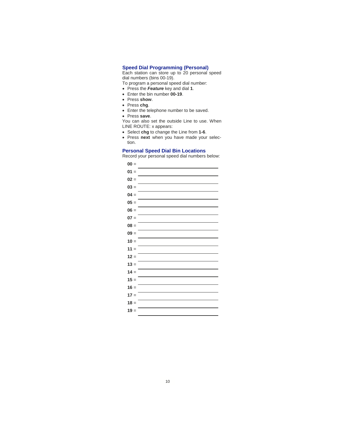#### **Speed Dial Programming (Personal)**

Each station can store up to 20 personal speed dial numbers (bins 00-19).

To program a personal speed dial number:

- Press the *Feature* key and dial **1**.
- Enter the bin number **00-19**.
- Press **show**.
- Press **chg**.
- Enter the telephone number to be saved.
- Press **save**.

You can also set the outside Line to use. When LINE ROUTE: x appears:

- Select **chg** to change the Line from **1-6**.
- Press **next** when you have made your selection.

## **Personal Speed Dial Bin Locations**

Record your personal speed dial numbers below:

| $00 =$ |  |
|--------|--|
| $01 =$ |  |
| $02 =$ |  |
| $03 =$ |  |
| $04 =$ |  |
| $05 =$ |  |
| $06 =$ |  |
| $07 =$ |  |
| $08 =$ |  |
| $09 =$ |  |
| $10 =$ |  |
| $11 =$ |  |
| $12 =$ |  |
| $13 =$ |  |
| $14 =$ |  |
| $15 =$ |  |
| $16 =$ |  |
| $17 =$ |  |
| $18 =$ |  |
| $19 =$ |  |
|        |  |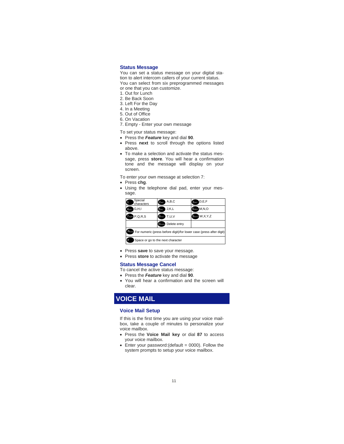### **Status Message**

You can set a status message on your digital station to alert intercom callers of your current status. You can select from six preprogrammed messages or one that you can customize.

- 1. Out for Lunch
- 2. Be Back Soon
- 3. Left For the Day
- 4. In a Meeting
- 5. Out of Office
- 6. On Vacation
- 7. Empty Enter your own message

To set your status message:

- Press the *Feature* key and dial **90**.
- Press **next** to scroll through the options listed above.
- To make a selection and activate the status message, press **store**. You will hear a confirmation tone and the message will display on your screen.

To enter your own message at selection 7:

- Press **chg**.
- Using the telephone dial pad, enter your message.

| Special<br>characters                                                              | A, B, C<br>$2_{ABC}$      | $g_{\text{DEF}}$ $D, E, F$ |  |  |  |
|------------------------------------------------------------------------------------|---------------------------|----------------------------|--|--|--|
| G.H.I<br>A <sub>GHJ</sub>                                                          | J,K,L<br>5 <sub>JKL</sub> | 6MMo M, N, O               |  |  |  |
| <b>7 PORS P.Q.R.S</b>                                                              | $8nv$ T,U,V               | 9woz W,X,Y,Z               |  |  |  |
|                                                                                    | <b>Ocean</b> Delete entry |                            |  |  |  |
| <b>Example For numeric (press before digit)/for lower case (press after digit)</b> |                           |                            |  |  |  |
| Space or go to the next character                                                  |                           |                            |  |  |  |

- Press **save** to save your message.
- Press **store** to activate the message

#### **Status Message Cancel**

To cancel the active status message:

- Press the *Feature* key and dial **90**.
- You will hear a confirmation and the screen will clear.

## **VOICE MAIL**

## **Voice Mail Setup**

If this is the first time you are using your voice mailbox, take a couple of minutes to personalize your voice mailbox.

- Press the **Voice Mail key** or dial **87** to access your voice mailbox.
- Enter your password: (default =  $0000$ ). Follow the system prompts to setup your voice mailbox.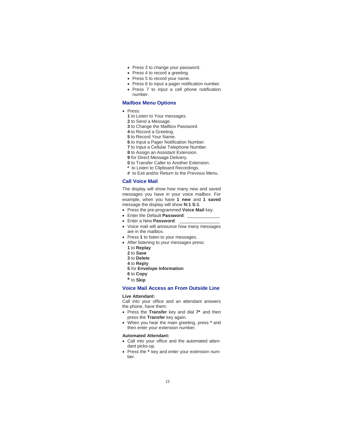- Press 3 to change your password.
- Press 4 to record a greeting.
- Press 5 to record your name.
- Press 6 to input a pager notification number. • Press 7 to input a cell phone notification
- number.

## **Mailbox Menu Options**

- Press:
	- **1** to Listen to Your messages.
	- **2** to Send a Message.
	- **3** to Change the Mailbox Password.
	- **4** to Record a Greeting.
	- **5** to Record Your Name.
	- **6** to Input a Pager Notification Number.
	- **7** to Input a Cellular Telephone Number.
	- **8** to Assign an Assistant Extension.
	- **9** for Direct Message Delivery.
	- **0** to Transfer Caller to Another Extension.
	- **\*** to Listen to Clipboard Recordings.
	- **#** to Exit and/or Return to the Previous Menu.

## **Call Voice Mail**

The display will show how many new and saved messages you have in your voice mailbox. For example, when you have **1 new** and **1 saved**  message the display will show **N:1 S:1**.

- Press the pre-programmed **Voice Mail** key.
- Enter the Default **Password**: \_\_\_\_\_\_\_\_\_\_\_\_\_
- Enter a New **Password**: \_\_\_\_\_\_\_\_\_\_\_\_\_\_\_\_
- Voice mail will announce how many messages are in the mailbox.
- Press **1** to listen to your messages.
- After listening to your messages press:
	- **1** to **Replay**
	- **2** to **Save**
	- **3** to **Delete**
	- **4** to **Reply**
	- **5** for **Envelope Information 6** to **Copy**
	-
	- **\*** to **Skip**

## **Voice Mail Access an From Outside Line**

## **Live Attendant:**

Call into your office and an attendant answers the phone, have them:

- Press the **Transfer** key and dial **7\*** and then press the **Transfer** key again.
- When you hear the main greeting, press **\*** and then enter your extension number.

#### **Automated Attendant:**

- Call into your office and the automated attendant picks-up.
- Press the **\*** key and enter your extension number.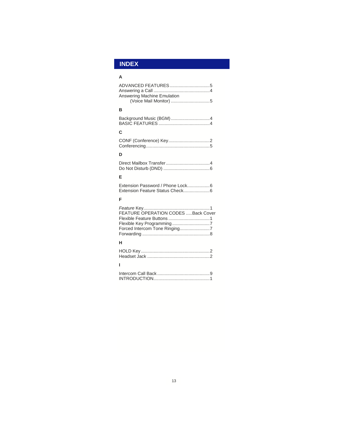## **INDEX**

| Δ                                  |
|------------------------------------|
| Answering Machine Emulation        |
| R                                  |
|                                    |
| С                                  |
|                                    |
| D                                  |
|                                    |
| Е                                  |
| Extension Password / Phone Lock6   |
| F                                  |
| FEATURE OPERATION CODES Back Cover |
| н                                  |
|                                    |
| ı                                  |
|                                    |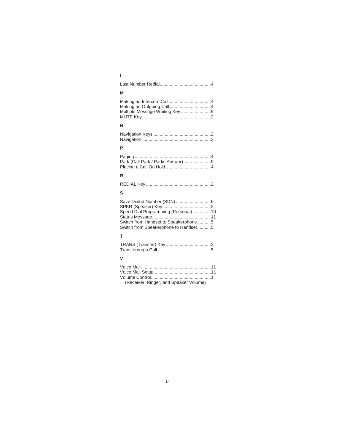| M                                                                                                                                                 |
|---------------------------------------------------------------------------------------------------------------------------------------------------|
| Multiple Message Waiting Key 9                                                                                                                    |
| N                                                                                                                                                 |
|                                                                                                                                                   |
| P                                                                                                                                                 |
| Park (Call Park / Parks Answer)9                                                                                                                  |
| R                                                                                                                                                 |
|                                                                                                                                                   |
| S                                                                                                                                                 |
| Save Dialed Number (SDN) 9<br>Speed Dial Programming (Personal)10<br>Switch from Handset to Speakerphone5<br>Switch from Speakerphone to Handset5 |
| T                                                                                                                                                 |
|                                                                                                                                                   |
| v                                                                                                                                                 |
| (Receiver, Ringer, and Speaker Volume)                                                                                                            |
|                                                                                                                                                   |
|                                                                                                                                                   |
|                                                                                                                                                   |

# **L**